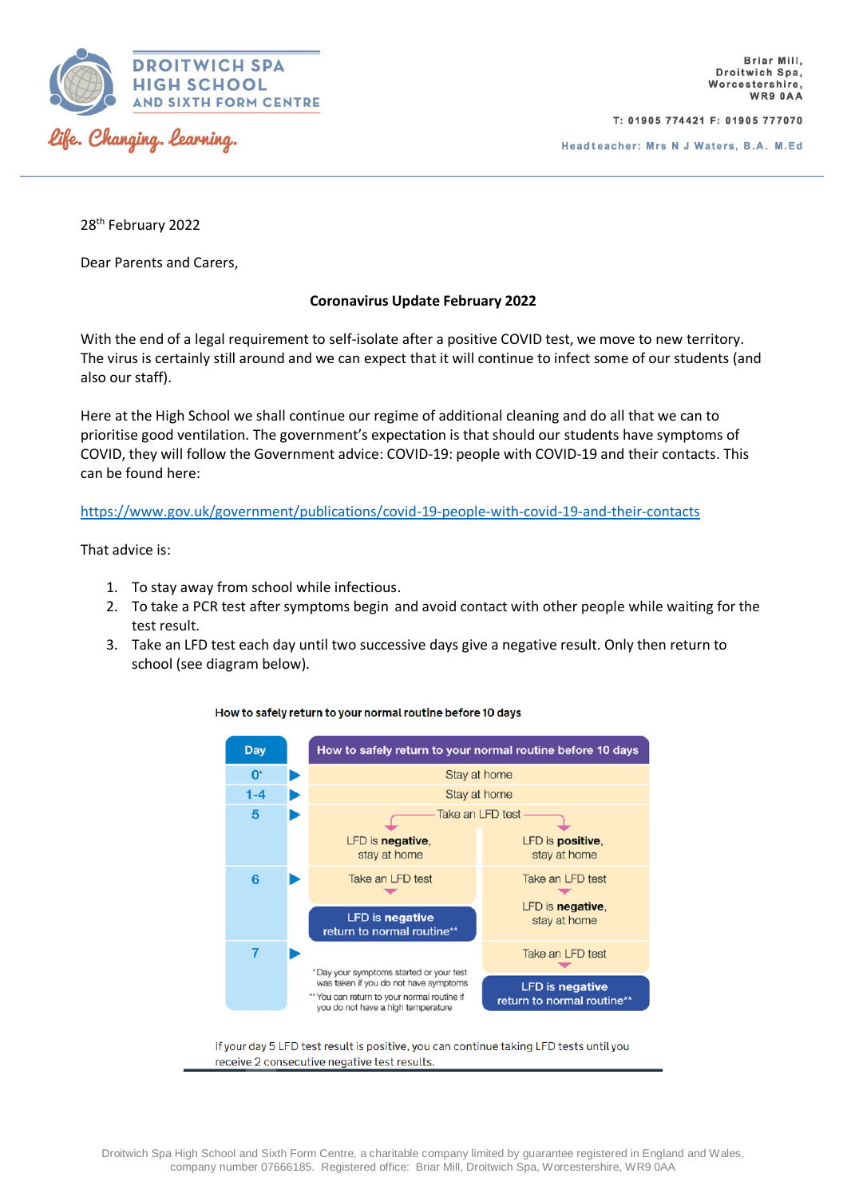

T: 01905 774421 F: 01905 777070

28<sup>th</sup> February 2022

Dear Parents and Carers,

## **Coronavirus Update February 2022**

With the end of a legal requirement to self-isolate after a positive COVID test, we move to new territory. The virus is certainly still around and we can expect that it will continue to infect some of our students (and also our staff).

Here at the High School we shall continue our regime of additional cleaning and do all that we can to prioritise good ventilation. The government's expectation is that should our students have symptoms of COVID, they will follow the Government advice: COVID-19: people with COVID-19 and their contacts. This can be found here:

## <https://www.gov.uk/government/publications/covid-19-people-with-covid-19-and-their-contacts>

That advice is:

- 1. To stay away from school while infectious.
- 2. To take a PCR test after symptoms begin and avoid contact with other people while waiting for the test result.
- 3. Take an LFD test each day until two successive days give a negative result. Only then return to school (see diagram below).



## How to safely return to your normal routine before 10 days

If your day 5 LFD test result is positive, you can continue taking LFD tests until you receive 2 consecutive negative test results.